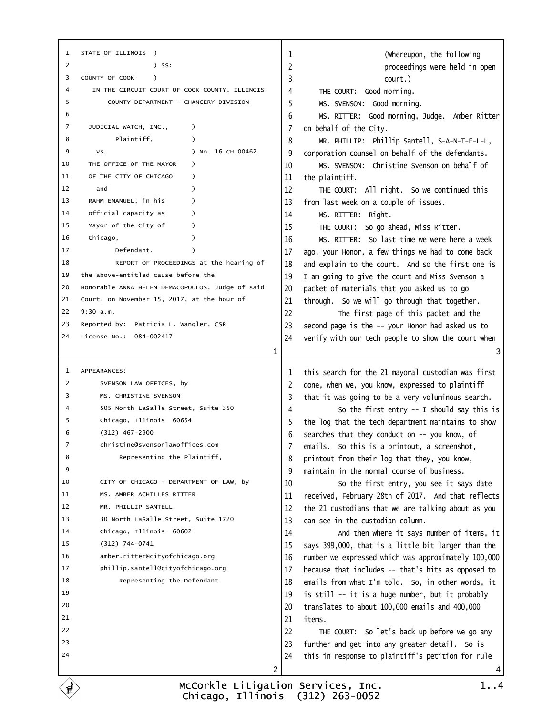<span id="page-0-0"></span>

| 1 STATE OF ILLINOIS )                                  | (Whereupon, the following<br>1                                                                                  |
|--------------------------------------------------------|-----------------------------------------------------------------------------------------------------------------|
| $)$ SS:<br>2                                           | 2<br>proceedings were held in open                                                                              |
| COUNTY OF COOK<br>3<br>$\rightarrow$                   | 3<br>court.)                                                                                                    |
| IN THE CIRCUIT COURT OF COOK COUNTY, ILLINOIS<br>4     | THE COURT: Good morning.<br>4                                                                                   |
| COUNTY DEPARTMENT - CHANCERY DIVISION<br>5             | MS. SVENSON: Good morning.<br>5                                                                                 |
| 6                                                      | MS. RITTER: Good morning, Judge. Amber Ritter<br>6                                                              |
| JUDICIAL WATCH, INC.,<br>7                             | 7 on behalf of the City.                                                                                        |
| Plaintiff,<br>8                                        | MR. PHILLIP: Phillip Santell, S-A-N-T-E-L-L,<br>8                                                               |
| 9<br>) No. 16 CH 00462<br>VS.                          | corporation counsel on behalf of the defendants.<br>9                                                           |
| THE OFFICE OF THE MAYOR )<br>10                        | MS. SVENSON: Christine Svenson on behalf of<br>10                                                               |
| OF THE CITY OF CHICAGO )<br>11                         | the plaintiff.<br>11                                                                                            |
| 12<br>and<br>$\lambda$                                 | 12<br>THE COURT: All right. So we continued this                                                                |
| RAHM EMANUEL, in his<br>13<br>$\lambda$                | 13 from last week on a couple of issues.                                                                        |
| official capacity as<br>14<br>$\lambda$                | MS. RITTER: Right.<br>14                                                                                        |
| Mayor of the City of<br>15<br>$\lambda$                | THE COURT: So go ahead, Miss Ritter.<br>15                                                                      |
| Chicago,<br>16                                         | MS, RITTER: So last time we were here a week<br>16                                                              |
| Defendant.<br>17                                       | 17 ago, your Honor, a few things we had to come back                                                            |
| REPORT OF PROCEEDINGS at the hearing of<br>18          | 18 and explain to the court. And so the first one is                                                            |
| the above-entitled cause before the<br>19              | 19 I am going to give the court and Miss Svenson a                                                              |
| Honorable ANNA HELEN DEMACOPOULOS, Judge of said<br>20 | packet of materials that you asked us to go<br>20                                                               |
| Court, on November 15, 2017, at the hour of<br>21      | 21 through. So we will go through that together.                                                                |
| 22 9:30 a.m.                                           | 22<br>The first page of this packet and the                                                                     |
| 23 Reported by: Patricia L. Wangler, CSR               | 23 second page is the -- your Honor had asked us to                                                             |
| 24 License No.: 084-002417                             | 24 verify with our tech people to show the court when                                                           |
| 1                                                      | 3                                                                                                               |
|                                                        |                                                                                                                 |
|                                                        |                                                                                                                 |
| 1 APPEARANCES:                                         |                                                                                                                 |
| 2<br>SVENSON LAW OFFICES, by                           | 1 this search for the 21 mayoral custodian was first<br>2 done, when we, you know, expressed to plaintiff       |
| MS. CHRISTINE SVENSON<br>3                             | 3 that it was going to be a very voluminous search.                                                             |
| 4<br>505 North LaSalle Street, Suite 350               | So the first entry -- I should say this is<br>4                                                                 |
| 5<br>Chicago, Illinois 60654                           | the log that the tech department maintains to show                                                              |
| 6<br>(312) 467-2900                                    | 6 searches that they conduct on -- you know, of                                                                 |
| 7<br>christine@svensonlawoffices.com                   | 7 emails. So this is a printout, a screenshot,                                                                  |
| Representing the Plaintiff,<br>8                       | 8 printout from their log that they, you know,                                                                  |
| 9                                                      | 9 maintain in the normal course of business.                                                                    |
| CITY OF CHICAGO - DEPARTMENT OF LAW, by<br>10          | 10<br>So the first entry, you see it says date                                                                  |
| MS. AMBER ACHILLES RITTER<br>11                        | received, February 28th of 2017. And that reflects<br>11                                                        |
| MR. PHILLIP SANTELL<br>12                              | 12                                                                                                              |
| 30 North LaSalle Street, Suite 1720<br>13              | the 21 custodians that we are talking about as you<br>13 can see in the custodian column.                       |
| 14<br>Chicago, Illinois 60602                          | 14                                                                                                              |
| (312) 744-0741<br>15                                   | And then where it says number of items, it                                                                      |
| amber.ritter@cityofchicago.org<br>16                   | 15 says 399,000, that is a little bit larger than the<br>16 number we expressed which was approximately 100,000 |
| phillip.santell@cityofchicago.org<br>17                | 17 because that includes -- that's hits as opposed to                                                           |
| 18<br>Representing the Defendant.                      | 18 emails from what I'm told. So, in other words, it                                                            |
| 19                                                     | 19                                                                                                              |
| 20                                                     | is still -- it is a huge number, but it probably<br>20                                                          |
| 21                                                     | translates to about 100,000 emails and 400,000<br>21<br>items.                                                  |
| 22                                                     | 22                                                                                                              |
| 23                                                     | THE COURT: So let's back up before we go any                                                                    |
| 24                                                     | 23 further and get into any greater detail. So is<br>24 this in response to plaintiff's petition for rule       |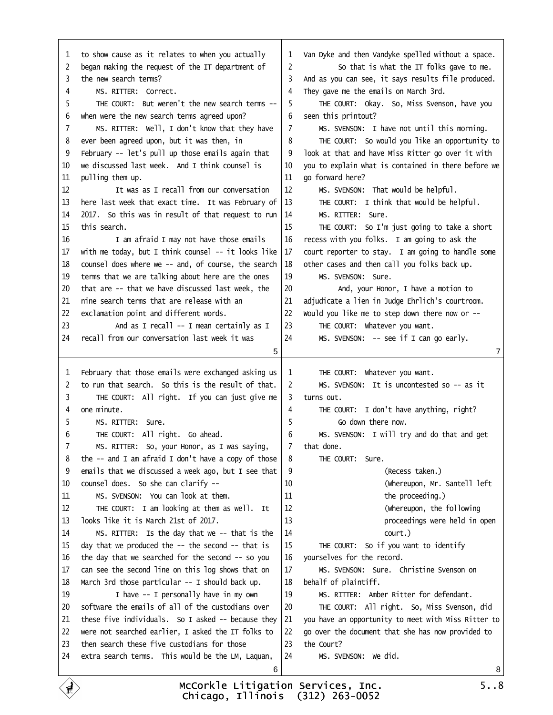<span id="page-1-0"></span>

| 1 to show cause as it relates to when you actually        | 1 Van Dyke and then Vandyke spelled without a space.       |
|-----------------------------------------------------------|------------------------------------------------------------|
| 2 began making the request of the IT department of        | $\overline{c}$<br>So that is what the IT folks gave to me. |
| 3 the new search terms?                                   | 3 And as you can see, it says results file produced.       |
| MS. RITTER: Correct.<br>4                                 | 4 They gave me the emails on March 3rd.                    |
| THE COURT: But weren't the new search terms --<br>5       | THE COURT: Okay. So, Miss Svenson, have you<br>5           |
| 6 when were the new search terms agreed upon?             | 6 seen this printout?                                      |
| MS. RITTER: Well, I don't know that they have<br>7        | MS. SVENSON: I have not until this morning.<br>7           |
| 8 ever been agreed upon, but it was then, in              | THE COURT: So would you like an opportunity to<br>8        |
| 9 February -- let's pull up those emails again that       | look at that and have Miss Ritter go over it with<br>9     |
| 10 we discussed last week. And I think counsel is         | 10 you to explain what is contained in there before we     |
| 11 pulling them up.                                       | 11 go forward here?                                        |
| It was as I recall from our conversation<br>12            | MS. SVENSON: That would be helpful.<br>12                  |
| 13 here last week that exact time. It was February of     | 13<br>THE COURT: I think that would be helpful.            |
| 14 2017. So this was in result of that request to run     | MS. RITTER: Sure.<br>14                                    |
| 15 this search.                                           | THE COURT: So I'm just going to take a short<br>15         |
| I am afraid I may not have those emails<br>16             | 16 recess with you folks. I am going to ask the            |
| 17 with me today, but I think counsel -- it looks like    | 17 court reporter to stay. I am going to handle some       |
| 18 counsel does where we -- and, of course, the search    | 18 other cases and then call you folks back up.            |
| 19 terms that we are talking about here are the ones      | MS. SVENSON: Sure.<br>19                                   |
| 20 that are -- that we have discussed last week, the      | And, your Honor, I have a motion to<br>20                  |
| 21 nine search terms that are release with an             | adjudicate a lien in Judge Ehrlich's courtroom.<br>21      |
| 22 exclamation point and different words.                 | 22 Would you like me to step down there now or --          |
| And as I recall -- I mean certainly as I<br>23            | 23<br>THE COURT: Whatever you want.                        |
| 24 recall from our conversation last week it was          | 24<br>MS. SVENSON: - see if I can go early.                |
|                                                           | 7                                                          |
| 5                                                         |                                                            |
|                                                           |                                                            |
| 1 February that those emails were exchanged asking us     | THE COURT: Whatever you want.<br>1                         |
| 2 to run that search. So this is the result of that.      | 2<br>MS. SVENSON: It is uncontested so -- as it            |
| THE COURT: All right. If you can just give me<br>3        | 3 turns out.                                               |
| 4 one minute.                                             | THE COURT: I don't have anything, right?<br>4              |
| MS. RITTER: Sure.<br>5                                    | 5<br>Go down there now.                                    |
| THE COURT: All right. Go ahead.<br>6                      | MS. SVENSON: I will try and do that and get<br>6           |
| MS. RITTER: So, your Honor, as I was saying,<br>7         | 7 that done.                                               |
| 8 the -- and I am afraid I don't have a copy of those     | THE COURT: Sure.<br>8                                      |
| 9 emails that we discussed a week ago, but I see that     | 9<br>(Recess taken.)                                       |
| 10 counsel does. So she can clarify --                    | (Whereupon, Mr. Santell left<br>10                         |
| MS. SVENSON: You can look at them.<br>11                  | 11<br>the proceeding.)                                     |
| THE COURT: I am looking at them as well. It<br>12         | 12<br>(Whereupon, the following                            |
| looks like it is March 21st of 2017.<br>13                | 13<br>proceedings were held in open                        |
| MS. RITTER: Is the day that we -- that is the<br>14       | 14<br>court.)                                              |
| 15 day that we produced the -- the second -- that is      | THE COURT: So if you want to identify<br>15                |
| 16 the day that we searched for the second -- so you      | 16 yourselves for the record.                              |
| can see the second line on this log shows that on<br>17   | MS. SVENSON: Sure. Christine Svenson on<br>17              |
| 18 March 3rd those particular -- I should back up.        | 18 behalf of plaintiff.                                    |
| I have -- I personally have in my own<br>19               | MS. RITTER: Amber Ritter for defendant.<br>19              |
| software the emails of all of the custodians over<br>20   | 20<br>THE COURT: All right. So, Miss Svenson, did          |
| 21 these five individuals. So I asked -- because they     | 21 you have an opportunity to meet with Miss Ritter to     |
| 22 were not searched earlier, I asked the IT folks to     | 22 go over the document that she has now provided to       |
| 23 then search these five custodians for those            | 23 the Court?                                              |
| 24 extra search terms. This would be the LM, Laquan,<br>6 | 24<br>MS. SVENSON: We did.<br>8                            |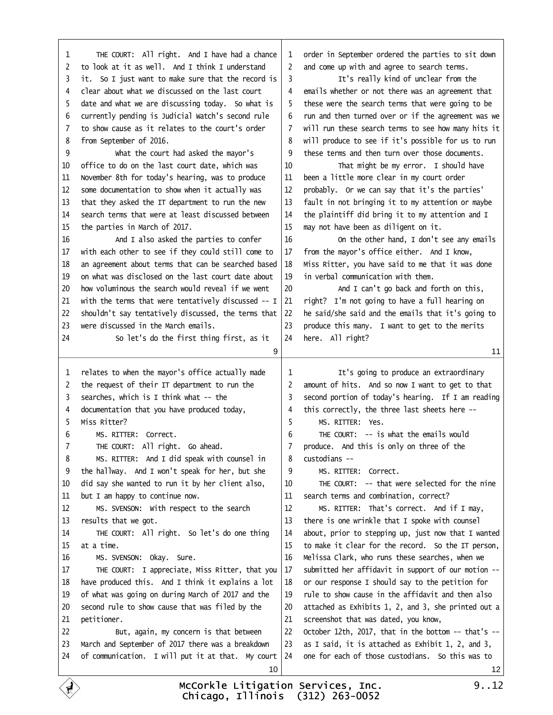| 1  | THE COURT: All right. And I have had a chance              |    | 1 order in September ordered the parties to sit down   |                 |
|----|------------------------------------------------------------|----|--------------------------------------------------------|-----------------|
|    | 2 to look at it as well. And I think I understand          |    | 2 and come up with and agree to search terms.          |                 |
|    | 3 it. So I just want to make sure that the record is       | 3  | It's really kind of unclear from the                   |                 |
|    | 4 clear about what we discussed on the last court          |    | 4 emails whether or not there was an agreement that    |                 |
|    | 5 date and what we are discussing today. So what is        |    | 5 these were the search terms that were going to be    |                 |
|    | 6 currently pending is Judicial Watch's second rule        |    | 6 run and then turned over or if the agreement was we  |                 |
|    | 7 to show cause as it relates to the court's order         |    | 7 will run these search terms to see how many hits it  |                 |
|    | 8 from September of 2016.                                  |    | 8 will produce to see if it's possible for us to run   |                 |
| 9  | What the court had asked the mayor's                       | 9  | these terms and then turn over those documents.        |                 |
|    | 10 office to do on the last court date, which was          | 10 | That might be my error. I should have                  |                 |
| 11 | November 8th for today's hearing, was to produce           | 11 | been a little more clear in my court order             |                 |
|    | 12 some documentation to show when it actually was         |    | 12 probably. Or we can say that it's the parties'      |                 |
|    | 13 that they asked the IT department to run the new        |    | 13 fault in not bringing it to my attention or maybe   |                 |
|    | 14 search terms that were at least discussed between       |    | 14 the plaintiff did bring it to my attention and I    |                 |
|    | 15 the parties in March of 2017.                           |    | 15 may not have been as diligent on it.                |                 |
| 16 | And I also asked the parties to confer                     | 16 | On the other hand, I don't see any emails              |                 |
|    | 17 with each other to see if they could still come to      |    | 17 from the mayor's office either. And I know,         |                 |
|    | 18 an agreement about terms that can be searched based     |    | 18 Miss Ritter, you have said to me that it was done   |                 |
|    | 19 on what was disclosed on the last court date about      |    | 19 in verbal communication with them.                  |                 |
|    | 20 how voluminous the search would reveal if we went       | 20 | And I can't go back and forth on this,                 |                 |
|    | 21 with the terms that were tentatively discussed -- I     |    | 21 right? I'm not going to have a full hearing on      |                 |
|    | 22 shouldn't say tentatively discussed, the terms that     |    | 22 he said/she said and the emails that it's going to  |                 |
|    | 23 were discussed in the March emails.                     |    | 23 produce this many. I want to get to the merits      |                 |
| 24 | So let's do the first thing first, as it                   |    | 24 here. All right?                                    |                 |
|    | 9                                                          |    |                                                        | 11              |
|    |                                                            |    |                                                        |                 |
|    |                                                            |    |                                                        |                 |
|    | 1 relates to when the mayor's office actually made         | 1  | It's going to produce an extraordinary                 |                 |
|    | 2 the request of their IT department to run the            |    | 2 amount of hits. And so now I want to get to that     |                 |
|    | 3 searches, which is I think what -- the                   |    | 3 second portion of today's hearing. If I am reading   |                 |
|    | 4 documentation that you have produced today,              | 4  | this correctly, the three last sheets here --          |                 |
|    | 5 Miss Ritter?                                             | 5  | MS. RITTER: Yes.                                       |                 |
| 6  | MS. RITTER: Correct.                                       | 6  | THE COURT: - is what the emails would                  |                 |
| 7  | THE COURT: All right. Go ahead.                            |    | 7 produce. And this is only on three of the            |                 |
| 8  | MS. RITTER: And I did speak with counsel in                | 8  | custodians-                                            |                 |
|    | 9 the hallway. And I won't speak for her, but she          | 9  | MS. RITTER: Correct.                                   |                 |
| 10 | did say she wanted to run it by her client also,           | 10 | THE COURT: -- that were selected for the nine          |                 |
| 11 | but I am happy to continue now.                            | 11 | search terms and combination, correct?                 |                 |
| 12 | MS. SVENSON: With respect to the search                    | 12 | MS. RITTER: That's correct. And if I may,              |                 |
|    | 13 results that we got.                                    | 13 | there is one wrinkle that I spoke with counsel         |                 |
| 14 | THE COURT: All right. So let's do one thing                | 14 | about, prior to stepping up, just now that I wanted    |                 |
|    | 15 at a time.                                              |    | 15 to make it clear for the record. So the IT person,  |                 |
| 16 | MS. SVENSON: Okay. Sure.                                   | 16 | Melissa Clark, who runs these searches, when we        |                 |
| 17 | THE COURT: I appreciate, Miss Ritter, that you             |    | 17 submitted her affidavit in support of our motion -- |                 |
|    | 18 have produced this. And I think it explains a lot       | 18 | or our response I should say to the petition for       |                 |
| 19 | of what was going on during March of 2017 and the          | 19 | rule to show cause in the affidavit and then also      |                 |
| 20 | second rule to show cause that was filed by the            | 20 | attached as Exhibits 1, 2, and 3, she printed out a    |                 |
| 21 | petitioner.                                                | 21 | screenshot that was dated, you know,                   |                 |
| 22 | But, again, my concern is that between                     | 22 | October 12th, 2017, that in the bottom -- that's --    |                 |
|    | 23 March and September of 2017 there was a breakdown       | 23 | as I said, it is attached as Exhibit 1, 2, and 3,      |                 |
|    | 24 of communication. I will put it at that. My court<br>10 |    | 24 one for each of those custodians. So this was to    | 12 <sup>°</sup> |

<span id="page-2-0"></span> $\Gamma$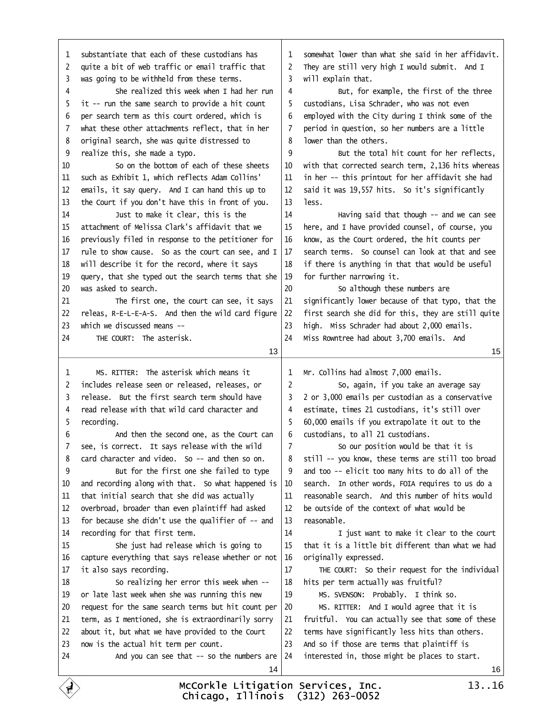<span id="page-3-0"></span>

|    | 1 substantiate that each of these custodians has       |    | 1 somewhat lower than what she said in her affidavit.  |    |
|----|--------------------------------------------------------|----|--------------------------------------------------------|----|
|    | 2 quite a bit of web traffic or email traffic that     |    | 2 They are still very high I would submit. And I       |    |
|    | 3 was going to be withheld from these terms.           |    | 3 will explain that.                                   |    |
| 4  | She realized this week when I had her run              | 4  | But, for example, the first of the three               |    |
|    | 5 it -- run the same search to provide a hit count     | 5  | custodians, Lisa Schrader, who was not even            |    |
|    | 6 per search term as this court ordered, which is      | 6  | employed with the City during I think some of the      |    |
|    | 7 what these other attachments reflect, that in her    |    | 7 period in question, so her numbers are a little      |    |
|    | 8 original search, she was quite distressed to         | 8  | lower than the others.                                 |    |
|    | 9 realize this, she made a typo.                       | 9  | But the total hit count for her reflects,              |    |
| 10 | So on the bottom of each of these sheets               |    | 10 with that corrected search term, 2,136 hits whereas |    |
|    | 11 such as Exhibit 1, which reflects Adam Collins'     |    | 11 in her -- this printout for her affidavit she had   |    |
|    | 12 emails, it say query. And I can hand this up to     |    | 12 said it was 19,557 hits. So it's significantly      |    |
|    | 13 the Court if you don't have this in front of you.   |    | 13 less.                                               |    |
| 14 | Just to make it clear, this is the                     | 14 | Having said that though -- and we can see              |    |
|    | 15 attachment of Melissa Clark's affidavit that we     |    | 15 here, and I have provided counsel, of course, you   |    |
|    | 16 previously filed in response to the petitioner for  |    | 16 know, as the Court ordered, the hit counts per      |    |
|    | 17 rule to show cause. So as the court can see, and I  |    | 17 search terms. So counsel can look at that and see   |    |
|    | 18 will describe it for the record, where it says      |    | 18 if there is anything in that that would be useful   |    |
|    | 19 query, that she typed out the search terms that she |    | 19 for further narrowing it.                           |    |
|    | 20 was asked to search.                                | 20 | So although these numbers are                          |    |
| 21 | The first one, the court can see, it says              |    | 21 significantly lower because of that typo, that the  |    |
|    | 22 releas, R-E-L-E-A-S. And then the wild card figure  |    | 22 first search she did for this, they are still quite |    |
|    | 23 which we discussed means --                         |    | 23 high. Miss Schrader had about 2,000 emails.         |    |
| 24 | THE COURT: The asterisk.                               |    | 24 Miss Rowntree had about 3,700 emails. And           |    |
|    | 13                                                     |    |                                                        | 15 |
|    |                                                        |    |                                                        |    |
|    |                                                        |    |                                                        |    |
| 1  | MS. RITTER: The asterisk which means it                | 1  | Mr. Collins had almost 7,000 emails.                   |    |
|    | 2 includes release seen or released, releases, or      | 2  | So, again, if you take an average say                  |    |
|    | 3 release. But the first search term should have       |    | 3 2 or 3,000 emails per custodian as a conservative    |    |
|    | 4 read release with that wild card character and       |    | 4 estimate, times 21 custodians, it's still over       |    |
|    | 5 recording.                                           | 5  | 60,000 emails if you extrapolate it out to the         |    |
| 6  | And then the second one, as the Court can              |    | 6 custodians, to all 21 custodians.                    |    |
|    | 7 see, is correct. It says release with the wild       | 7  | So our position would be that it is                    |    |
|    | 8 card character and video. So -- and then so on.      |    | 8 still - you know, these terms are still too broad    |    |
| 9  | But for the first one she failed to type               | 9  | and too -- elicit too many hits to do all of the       |    |
|    | 10 and recording along with that. So what happened is  | 10 | search. In other words, FOIA requires to us do a       |    |
| 11 | that initial search that she did was actually          | 11 | reasonable search. And this number of hits would       |    |
|    | 12 overbroad, broader than even plaintiff had asked    | 12 | be outside of the context of what would be             |    |
|    | 13 for because she didn't use the qualifier of -- and  |    | 13 reasonable.                                         |    |
|    | 14 recording for that first term.                      | 14 | I just want to make it clear to the court              |    |
| 15 | She just had release which is going to                 | 15 | that it is a little bit different than what we had     |    |
|    | 16 capture everything that says release whether or not | 16 | originally expressed.                                  |    |
|    | 17 it also says recording.                             | 17 | THE COURT: So their request for the individual         |    |
| 18 | So realizing her error this week when --               |    | 18 hits per term actually was fruitful?                |    |
| 19 | or late last week when she was running this new        | 19 | MS. SVENSON: Probably. I think so.                     |    |
| 20 | request for the same search terms but hit count per    | 20 | MS. RITTER: And I would agree that it is               |    |
| 21 | term, as I mentioned, she is extraordinarily sorry     | 21 | fruitful. You can actually see that some of these      |    |
|    | 22 about it, but what we have provided to the Court    |    | 22 terms have significantly less hits than others.     |    |
|    | 23 now is the actual hit term per count.               |    | 23 And so if those are terms that plaintiff is         |    |
| 24 | And you can see that -- so the numbers are             |    | 24 interested in, those might be places to start.      |    |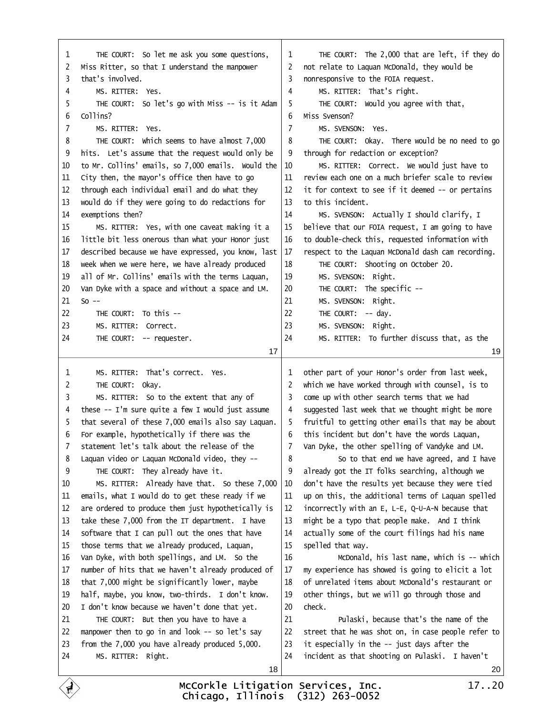<span id="page-4-0"></span>

| THE COURT: So let me ask you some questions,                           | THE COURT: The 2,000 that are left, if they do            |
|------------------------------------------------------------------------|-----------------------------------------------------------|
| 1                                                                      | 1                                                         |
| 2 Miss Ritter, so that I understand the manpower<br>3 that's involved. | 2 not relate to Laquan McDonald, they would be            |
|                                                                        | 3 nonresponsive to the FOIA request.                      |
| MS. RITTER: Yes.<br>4                                                  | MS. RITTER: That's right.<br>4                            |
| THE COURT: So let's go with Miss -- is it Adam<br>5                    | THE COURT: Would you agree with that,<br>5                |
| 6 Collins?                                                             | Miss Svenson?<br>6                                        |
| MS. RITTER: Yes.<br>7                                                  | MS. SVENSON: Yes.<br>7                                    |
| THE COURT: Which seems to have almost 7,000<br>8                       | THE COURT: Okay. There would be no need to go<br>8        |
| 9 hits. Let's assume that the request would only be                    | through for redaction or exception?<br>9                  |
| 10 to Mr. Collins' emails, so 7,000 emails. Would the                  | MS. RITTER: Correct. We would just have to<br>10          |
| City then, the mayor's office then have to go<br>11                    | review each one on a much briefer scale to review<br>11   |
| 12 through each individual email and do what they                      | 12 it for context to see if it deemed - or pertains       |
| 13 would do if they were going to do redactions for                    | 13 to this incident.                                      |
| 14 exemptions then?                                                    | 14<br>MS. SVENSON: Actually I should clarify, I           |
| MS. RITTER: Yes, with one caveat making it a<br>15                     | believe that our FOIA request, I am going to have<br>15   |
| 16 little bit less onerous than what your Honor just                   | 16 to double-check this, requested information with       |
| 17 described because we have expressed, you know, last                 | respect to the Laquan McDonald dash cam recording.<br>17  |
| 18 week when we were here, we have already produced                    | THE COURT: Shooting on October 20.<br>18                  |
| 19 all of Mr. Collins' emails with the terms Laquan,                   | MS. SVENSON: Right.<br>19                                 |
| 20 Van Dyke with a space and without a space and LM.                   | 20<br>THE COURT: The specific --                          |
| 21 So-                                                                 | 21<br>MS. SVENSON: Right.                                 |
| THE COURT: To this --<br>22                                            | THE COURT: - day.<br>22                                   |
| 23<br>MS. RITTER: Correct.                                             | MS. SVENSON: Right.<br>23                                 |
| THE COURT: - requester.<br>24                                          | MS. RITTER: To further discuss that, as the<br>24         |
| 17                                                                     | 19                                                        |
|                                                                        |                                                           |
|                                                                        |                                                           |
| MS. RITTER: That's correct. Yes.<br>1                                  | 1 other part of your Honor's order from last week,        |
| THE COURT: Okay.<br>2                                                  | 2 which we have worked through with counsel, is to        |
| MS. RITTER: So to the extent that any of<br>3                          | 3 come up with other search terms that we had             |
| 4 these -- I'm sure quite a few I would just assume                    | 4 suggested last week that we thought might be more       |
| 5 that several of these 7,000 emails also say Laquan.                  | 5 fruitful to getting other emails that may be about      |
| 6 For example, hypothetically if there was the                         | 6 this incident but don't have the words Laquan,          |
| 7 statement let's talk about the release of the                        | 7 Van Dyke, the other spelling of Vandyke and LM.         |
| 8 Laquan video or Laquan McDonald video, they --                       | 8<br>So to that end we have agreed, and I have            |
| THE COURT: They already have it.<br>9                                  | already got the IT folks searching, although we<br>9      |
| MS. RITTER: Already have that. So these 7,000<br>10                    | don't have the results yet because they were tied<br>10   |
| emails, what I would do to get these ready if we<br>11                 | up on this, the additional terms of Laquan spelled<br>11  |
| are ordered to produce them just hypothetically is<br>12               | incorrectly with an E, L-E, Q-U-A-N because that<br>12    |
| take these 7,000 from the IT department. I have<br>13.                 | 13 might be a typo that people make. And I think          |
| software that I can pull out the ones that have<br>14                  | actually some of the court filings had his name<br>14     |
| 15 those terms that we already produced, Laquan,                       | 15 spelled that way.                                      |
| Van Dyke, with both spellings, and LM. So the<br>16                    | 16<br>McDonald, his last name, which is -- which          |
| number of hits that we haven't already produced of<br>17.              | my experience has showed is going to elicit a lot<br>17   |
| that 7,000 might be significantly lower, maybe<br>18                   | 18 of unrelated items about McDonald's restaurant or      |
| half, maybe, you know, two-thirds. I don't know.<br>19                 | other things, but we will go through those and<br>19      |
| I don't know because we haven't done that yet.<br>20                   | 20 check.                                                 |
| 21<br>THE COURT: But then you have to have a                           | 21<br>Pulaski, because that's the name of the             |
| 22 manpower then to go in and look -- so let's say                     | street that he was shot on, in case people refer to<br>22 |
| 23 from the 7,000 you have already produced 5,000.                     | it especially in the -- just days after the<br>23         |
| 24<br>MS. RITTER: Right.                                               | 24 incident as that shooting on Pulaski. I haven't        |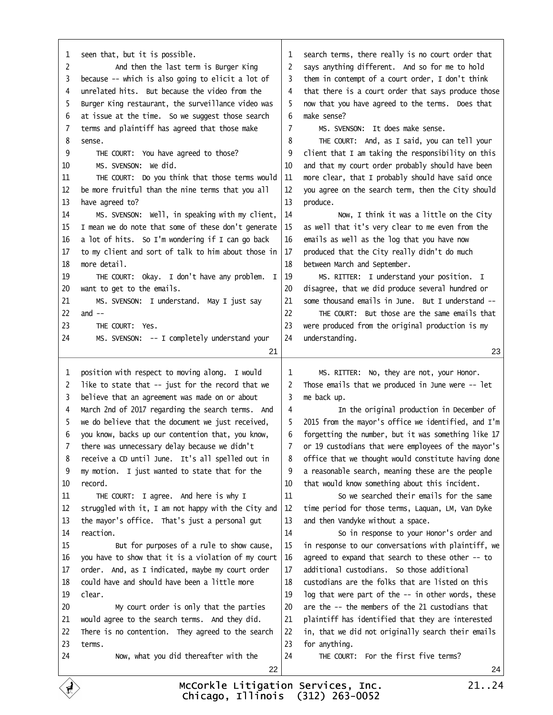<span id="page-5-0"></span>

| 1 seen that, but it is possible.                        | 1 search terms, there really is no court order that      |    |
|---------------------------------------------------------|----------------------------------------------------------|----|
| And then the last term is Burger King<br>2              | 2 says anything different. And so for me to hold         |    |
| 3 because -- which is also going to elicit a lot of     | them in contempt of a court order, I don't think<br>3.   |    |
| 4 unrelated hits. But because the video from the        | that there is a court order that says produce those<br>4 |    |
| 5 Burger King restaurant, the surveillance video was    | now that you have agreed to the terms. Does that<br>5    |    |
| 6 at issue at the time. So we suggest those search      | make sense?<br>6                                         |    |
| 7 terms and plaintiff has agreed that those make        | MS. SVENSON: It does make sense.<br>7                    |    |
| 8 sense.                                                | THE COURT: And, as I said, you can tell your<br>8        |    |
| THE COURT: You have agreed to those?<br>9               | 9 client that I am taking the responsibility on this     |    |
| MS. SVENSON: We did.<br>10                              | 10 and that my court order probably should have been     |    |
| THE COURT: Do you think that those terms would<br>11    | 11 more clear, that I probably should have said once     |    |
| 12 be more fruitful than the nine terms that you all    | 12 you agree on the search term, then the City should    |    |
| 13 have agreed to?                                      | 13 produce.                                              |    |
| MS. SVENSON: Well, in speaking with my client,<br>14    | 14<br>Now, I think it was a little on the City           |    |
| 15 I mean we do note that some of these don't generate  | 15 as well that it's very clear to me even from the      |    |
| 16 a lot of hits. So I'm wondering if I can go back     | 16 emails as well as the log that you have now           |    |
| 17 to my client and sort of talk to him about those in  | 17 produced that the City really didn't do much          |    |
| 18 more detail.                                         | 18 between March and September.                          |    |
| THE COURT: Okay. I don't have any problem. I<br>19      | MS. RITTER: I understand your position. I<br>19          |    |
| 20 want to get to the emails.                           | disagree, that we did produce several hundred or<br>20   |    |
| MS. SVENSON: I understand. May I just say<br>21         | some thousand emails in June. But I understand --<br>21  |    |
| 22 and --                                               | 22<br>THE COURT: But those are the same emails that      |    |
| THE COURT: Yes.<br>23                                   | 23 were produced from the original production is my      |    |
| MS. SVENSON: -- I completely understand your<br>24      | 24 understanding.                                        |    |
|                                                         |                                                          |    |
| 21                                                      |                                                          | 23 |
|                                                         |                                                          |    |
| 1 position with respect to moving along. I would        | MS. RITTER: No, they are not, your Honor.<br>1           |    |
| 2 like to state that -- just for the record that we     | 2 Those emails that we produced in June were -- let      |    |
| 3 believe that an agreement was made on or about        | 3 me back up.                                            |    |
| 4 March 2nd of 2017 regarding the search terms. And     | In the original production in December of<br>4           |    |
| 5 we do believe that the document we just received,     | 5 2015 from the mayor's office we identified, and I'm    |    |
| 6 you know, backs up our contention that, you know,     | 6 forgetting the number, but it was something like 17    |    |
| 7 there was unnecessary delay because we didn't         | 7 or 19 custodians that were employees of the mayor's    |    |
| 8 receive a CD until June. It's all spelled out in      | 8 office that we thought would constitute having done    |    |
| 9 my motion. I just wanted to state that for the        | 9 a reasonable search, meaning these are the people      |    |
| 10 record.                                              | 10 that would know something about this incident.        |    |
| THE COURT: I agree. And here is why I<br>11             | So we searched their emails for the same<br>11           |    |
| 12 struggled with it, I am not happy with the City and  | 12 time period for those terms, Laquan, LM, Van Dyke     |    |
| 13 the mayor's office. That's just a personal gut       | 13 and then Vandyke without a space.                     |    |
| 14 reaction.                                            | So in response to your Honor's order and<br>14           |    |
| 15<br>But for purposes of a rule to show cause,         | 15 in response to our conversations with plaintiff, we   |    |
| 16 you have to show that it is a violation of my court  | 16 agreed to expand that search to these other -- to     |    |
| 17 order. And, as I indicated, maybe my court order     | 17 additional custodians. So those additional            |    |
| 18 could have and should have been a little more        | 18 custodians are the folks that are listed on this      |    |
| 19 clear.                                               | log that were part of the -- in other words, these<br>19 |    |
| 20<br>My court order is only that the parties           | are the -- the members of the 21 custodians that<br>20   |    |
| would agree to the search terms. And they did.<br>21    | plaintiff has identified that they are interested<br>21  |    |
| There is no contention. They agreed to the search<br>22 | in, that we did not originally search their emails<br>22 |    |
| 23 terms.                                               | 23 for anything.                                         |    |
| Now, what you did thereafter with the<br>24             | THE COURT: For the first five terms?<br>24               |    |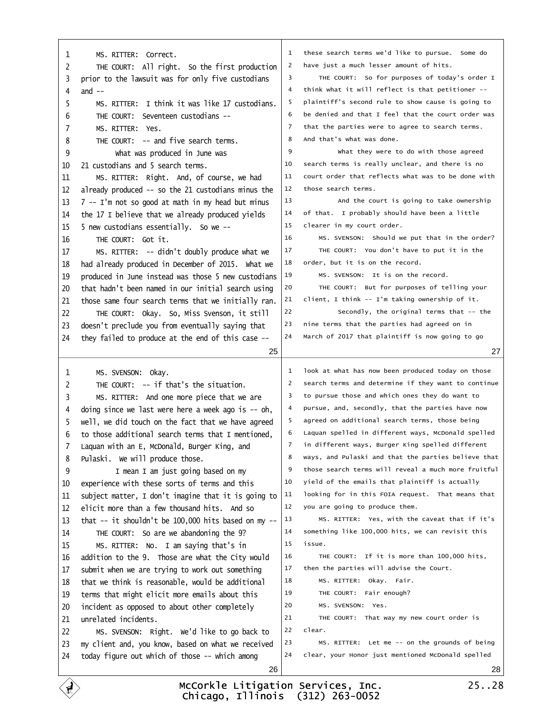<span id="page-6-0"></span>

| MS. RITTER: Correct.<br>1                                    |                                                          |    |
|--------------------------------------------------------------|----------------------------------------------------------|----|
|                                                              | 1 these search terms we'd like to pursue. Some do        |    |
| 2<br>THE COURT: All right. So the first production           | 2 have just a much lesser amount of hits.                |    |
| 3 prior to the lawsuit was for only five custodians          | 3<br>THE COURT: So for purposes of today's order I       |    |
| 4 and $-$                                                    | 4 think what it will reflect is that petitioner --       |    |
| MS. RITTER: I think it was like 17 custodians.<br>5          | plaintiff's second rule to show cause is going to<br>5   |    |
| THE COURT: Seventeen custodians --<br>6                      | be denied and that I feel that the court order was<br>6  |    |
| MS. RITTER: Yes.<br>7                                        | 7 that the parties were to agree to search terms.        |    |
| THE COURT: - and five search terms.<br>8                     | And that's what was done.<br>8                           |    |
| 9<br>What was produced in June was                           | 9<br>What they were to do with those agreed              |    |
| 10 21 custodians and 5 search terms.                         | search terms is really unclear, and there is no<br>10    |    |
| 11<br>MS. RITTER: Right. And, of course, we had              | court order that reflects what was to be done with<br>11 |    |
| 12 already produced -- so the 21 custodians minus the        | those search terms.<br>12                                |    |
| 13 7 -- I'm not so good at math in my head but minus         | 13<br>And the court is going to take ownership           |    |
| 14 the 17 I believe that we already produced yields          | of that. I probably should have been a little<br>14      |    |
| 15 5 new custodians essentially. So we --                    | clearer in my court order.<br>15                         |    |
| THE COURT: Got it.<br>16                                     | 16<br>MS. SVENSON: Should we put that in the order?      |    |
| MS. RITTER: - didn't doubly produce what we<br>17            | 17<br>THE COURT: You don't have to put it in the         |    |
| 18 had already produced in December of 2015. What we         | order, but it is on the record.<br>18                    |    |
| 19 produced in June instead was those 5 new custodians       | 19<br>MS. SVENSON: It is on the record.                  |    |
| 20 that hadn't been named in our initial search using        | 20<br>THE COURT: But for purposes of telling your        |    |
| those same four search terms that we initially ran.<br>21    | 21<br>client, I think -- I'm taking ownership of it.     |    |
| 22<br>THE COURT: Okay. So, Miss Svenson, it still            | 22<br>Secondly, the original terms that -- the           |    |
| 23 doesn't preclude you from eventually saying that          | nine terms that the parties had agreed on in<br>23       |    |
| 24 they failed to produce at the end of this case --         | 24 March of 2017 that plaintiff is now going to go       |    |
| 25                                                           |                                                          | 27 |
|                                                              |                                                          |    |
| MS. SVENSON: Okay.<br>1                                      | 1 look at what has now been produced today on those      |    |
| THE COURT: - if that's the situation.<br>2                   |                                                          |    |
|                                                              | 2 search terms and determine if they want to continue    |    |
| MS. RITTER: And one more piece that we are<br>3              | 3 to pursue those and which ones they do want to         |    |
| 4 doing since we last were here a week ago is -- oh,         | pursue, and, secondly, that the parties have now<br>4    |    |
| 5 well, we did touch on the fact that we have agreed         | 5 agreed on additional search terms, those being         |    |
| 6 to those additional search terms that I mentioned,         | Laquan spelled in different ways, McDonald spelled<br>6  |    |
| 7 Laquan with an E, McDonald, Burger King, and               | 7 in different ways, Burger King spelled different       |    |
| 8 Pulaski. We will produce those.                            | ways, and Pulaski and that the parties believe that<br>8 |    |
| I mean I am just going based on my<br>9                      | those search terms will reveal a much more fruitful<br>9 |    |
| experience with these sorts of terms and this<br>10          | yield of the emails that plaintiff is actually<br>10     |    |
| subject matter, I don't imagine that it is going to<br>11    | looking for in this FOIA request. That means that<br>11  |    |
| elicit more than a few thousand hits. And so<br>12.          | 12 you are going to produce them.                        |    |
| that $-$ it shouldn't be 100,000 hits based on my $-$<br>13. | 13<br>MS. RITTER: Yes, with the caveat that if it's      |    |
| THE COURT: So are we abandoning the 9?<br>14                 | something like 100,000 hits, we can revisit this<br>14   |    |
| 15<br>MS. RITTER: No. I am saying that's in                  | 15<br>issue.                                             |    |
| 16 addition to the 9. Those are what the City would          | 16<br>THE COURT: If it is more than 100,000 hits,        |    |
| submit when we are trying to work out something<br>17.       | then the parties will advise the Court.<br>17            |    |
| 18 that we think is reasonable, would be additional          | 18<br>MS. RITTER: Okay. Fair.                            |    |
| terms that might elicit more emails about this<br>19         | 19<br>THE COURT: Fair enough?                            |    |
| incident as opposed to about other completely<br>20          | 20<br>MS. SVENSON: Yes.                                  |    |
| unrelated incidents.<br>21                                   | 21<br>THE COURT: That way my new court order is          |    |
| 22<br>MS. SVENSON: Right. We'd like to go back to            | 22<br>clear.                                             |    |
| 23 my client and, you know, based on what we received        | 23<br>MS. RITTER: Let me -- on the grounds of being      |    |
| 24 today figure out which of those -- which among<br>26      | clear, your Honor just mentioned McDonald spelled<br>24  | 28 |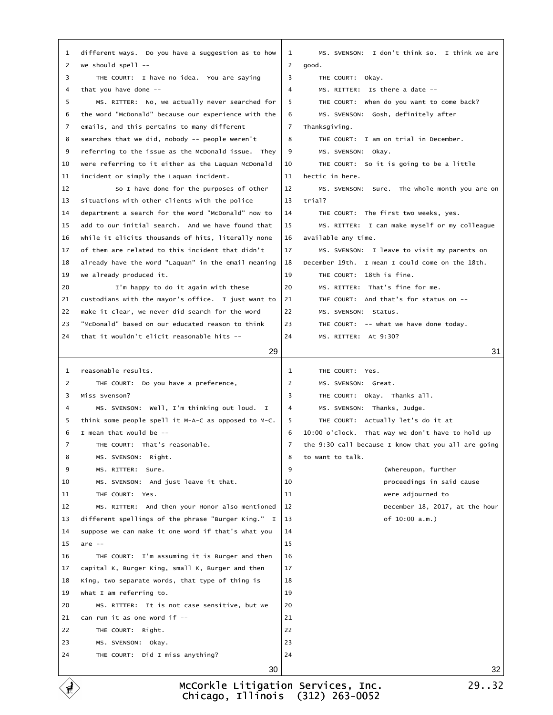|         | 1 different ways. Do you have a suggestion as to how    | 1              | MS. SVENSON: I don't think so. I think we are         |    |
|---------|---------------------------------------------------------|----------------|-------------------------------------------------------|----|
|         | 2 we should spell --                                    |                | 2 good.                                               |    |
| 3       | THE COURT: I have no idea. You are saying               | 3              | THE COURT: Okay.                                      |    |
|         | 4 that you have done --                                 | 4              | MS. RITTER: Is there a date --                        |    |
| 5       | MS. RITTER: No, we actually never searched for          | 5              | THE COURT: When do you want to come back?             |    |
|         | 6 the word "McDonald" because our experience with the   | 6              | MS. SVENSON: Gosh, definitely after                   |    |
| 7       | emails, and this pertains to many different             |                | 7 Thanksgiving.                                       |    |
| 8       | searches that we did, nobody -- people weren't          | 8              | THE COURT: I am on trial in December.                 |    |
| 9       | referring to the issue as the McDonald issue. They      | 9              | MS. SVENSON: Okay.                                    |    |
| 10      | were referring to it either as the Laquan McDonald      | 10             | THE COURT: So it is going to be a little              |    |
| 11      | incident or simply the Laquan incident.                 |                | 11 hectic in here.                                    |    |
| 12      | So I have done for the purposes of other                | 12             | MS. SVENSON: Sure. The whole month you are on         |    |
| 13      | situations with other clients with the police           |                | 13 trial?                                             |    |
| 14      | department a search for the word "McDonald" now to      | 14             | THE COURT: The first two weeks, yes.                  |    |
| 15      | add to our initial search. And we have found that       | 15             | MS. RITTER: I can make myself or my colleague         |    |
| 16      | while it elicits thousands of hits, literally none      |                | 16 available any time.                                |    |
| 17      | of them are related to this incident that didn't        | 17             | MS. SVENSON: I leave to visit my parents on           |    |
| 18      | already have the word "Laquan" in the email meaning     | 18             | December 19th. I mean I could come on the 18th.       |    |
| 19      | we already produced it.                                 | 19             | THE COURT: 18th is fine.                              |    |
| 20      | I'm happy to do it again with these                     | 20             | MS. RITTER: That's fine for me.                       |    |
| 21      | custodians with the mayor's office. I just want to      | 21             | THE COURT: And that's for status on --                |    |
| 22      | make it clear, we never did search for the word         | 22             | MS. SVENSON: Status.                                  |    |
| 23      | "McDonald" based on our educated reason to think        | 23             | THE COURT: -- what we have done today.                |    |
|         | 24 that it wouldn't elicit reasonable hits --           | 24             | MS. RITTER: At 9:30?                                  |    |
|         |                                                         |                |                                                       |    |
|         | 29                                                      |                |                                                       | 31 |
|         |                                                         |                |                                                       |    |
|         | 1 reasonable results.                                   | $\mathbf{1}$   | THE COURT: Yes.                                       |    |
| 2       | THE COURT: Do you have a preference,                    | $\overline{2}$ | MS. SVENSON: Great.                                   |    |
|         | 3 Miss Svenson?                                         | 3              | THE COURT: Okay. Thanks all.                          |    |
| 4       | MS. SVENSON: Well, I'm thinking out loud. I             | 4              | MS. SVENSON: Thanks, Judge.                           |    |
| 5       | think some people spell it M-A-C as opposed to M-C.     | 5              | THE COURT: Actually let's do it at                    |    |
|         | 6 I mean that would be --                               |                | 6 10:00 o'clock. That way we don't have to hold up    |    |
| 7       | THE COURT: That's reasonable.                           |                | 7 the 9:30 call because I know that you all are going |    |
| 8       | MS. SVENSON: Right.                                     |                | 8 to want to talk.                                    |    |
| 9<br>10 | MS. RITTER: Sure.                                       | 9<br>10        | (Whereupon, further<br>proceedings in said cause      |    |
| 11      | MS. SVENSON: And just leave it that.<br>THE COURT: Yes. | 11             | were adjourned to                                     |    |
| 12      | MS. RITTER: And then your Honor also mentioned          | 12             | December 18, 2017, at the hour                        |    |
| 13      | different spellings of the phrase "Burger King." I      | 13             | of 10:00 a.m.)                                        |    |
| 14      | suppose we can make it one word if that's what you      | 14             |                                                       |    |
|         | 15 are --                                               | 15             |                                                       |    |
| 16      | THE COURT: I'm assuming it is Burger and then           | 16             |                                                       |    |
| 17      | capital K, Burger King, small K, Burger and then        | 17             |                                                       |    |
| 18      | King, two separate words, that type of thing is         | 18             |                                                       |    |
| 19      | what I am referring to.                                 | 19             |                                                       |    |
| 20      | MS. RITTER: It is not case sensitive, but we            | 20             |                                                       |    |
| 21      | can run it as one word if --                            | 21             |                                                       |    |
| 22      | THE COURT: Right.                                       | 22             |                                                       |    |
| 23      | MS. SVENSON: Okay.                                      | 23             |                                                       |    |
| 24      | THE COURT: Did I miss anything?                         | 24             |                                                       |    |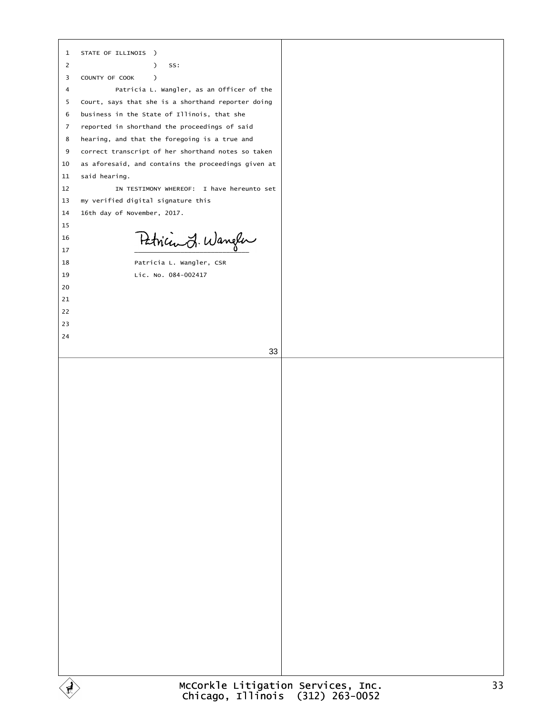|                | 1 STATE OF ILLINOIS )                                |
|----------------|------------------------------------------------------|
| $\overline{2}$ | ) SS:                                                |
|                | 3 COUNTY OF COOK )                                   |
| 4              | Patricia L. Wangler, as an Officer of the            |
|                | 5 Court, says that she is a shorthand reporter doing |
| 6              | business in the State of Illinois, that she          |
|                | 7 reported in shorthand the proceedings of said      |
|                | 8 hearing, and that the foregoing is a true and      |
| 9              | correct transcript of her shorthand notes so taken   |
| 10             | as aforesaid, and contains the proceedings given at  |
|                | said hearing.                                        |
| 11<br>12       | IN TESTIMONY WHEREOF: I have hereunto set            |
|                |                                                      |
| 13             | my verified digital signature this                   |
| 14             | 16th day of November, 2017.                          |
| 15             |                                                      |
| 16             |                                                      |
| 17             |                                                      |
| 18             | Patricia L. Wangler, CSR                             |
| 19             | Lic. No. 084-002417                                  |
| 20             |                                                      |
| 21             |                                                      |
| 22             |                                                      |
| 23             |                                                      |
| 24             |                                                      |
|                | 33                                                   |
|                |                                                      |
|                |                                                      |
|                |                                                      |
|                |                                                      |
|                |                                                      |
|                |                                                      |
|                |                                                      |
|                |                                                      |
|                |                                                      |
|                |                                                      |
|                |                                                      |
|                |                                                      |
|                |                                                      |
|                |                                                      |
|                |                                                      |
|                |                                                      |
|                |                                                      |
|                |                                                      |
|                |                                                      |
|                |                                                      |
|                |                                                      |
|                |                                                      |
|                |                                                      |
|                |                                                      |
|                |                                                      |
|                |                                                      |
|                |                                                      |
|                | $McCanV1 \circ L1 + i(2) + i(2)$                     |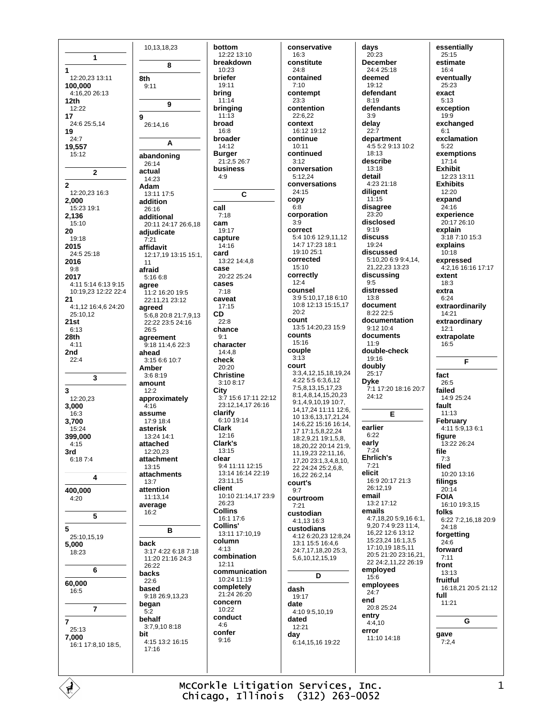1  $\mathbf{1}$ 12:20,23 13:11 8th 100,000 4:16,20 26:13  $12th$  $12.22$ 17 9 24:6 25:5,14 19  $24.7$ 19,557  $15:12$  $\overline{\mathbf{z}}$  $\overline{2}$ 12:20,23 16:3 2.000  $15.2319.1$ 2,136  $15:10$ 20 19:18 2015 24:5 25:18 2016  $9:8$ 2017 4:11 5:14 6:13 9:15 10:19.23 12:22 22:4  $21$ 4:1,12 16:4,6 24:20 25:10.12  $21st$  $6:13$ 28th  $4:11$ 2nd  $22:4$ 3  $\overline{\mathbf{3}}$ 12:20,23 3,000 16:3 3,700 15:24 399.000  $4:15$ 3rd 6:187:4  $\overline{4}$ 400,000  $4:20$  $\overline{5}$ 5 25:10,15,19 5.000 18:23  $6\phantom{a}$ 60,000  $16:5$  $\overline{7}$ 7  $25:13$ bit 7,000 16:1 17:8,10 18:5,

10,13,18,23 bottom 12:22 13:10 breakdown 8  $10.23$ **briefer**  $19.11$  $9:11$ bring  $11:14$ 9 bringing  $11.13$ broad  $26:14.16$ 16:8 broader A  $14:12$ **Burger** abandoning 21:2,5 26:7  $26.14$ business actual  $4:9$ 14:23 **Adam**  $13:11$  17:5 addition  $call$ 26:16  $7:18$ additional cam 20:11 24:17 26:6,18 19:17 adjudicate capture  $7.21$  $14:16$ affidavit card 12:17,19 13:15 15:1,  $13.221448$ case afraid  $5.1668$  $20.2225.24$ cases agree  $7:18$ 11:2 16:20 19:5 caveat 22:11,21 23:12 agreed  $17.15$  $CD$ 5:6.8 20:8 21:7.9.13  $22:8$ 22:22 23:5 24:16 chance  $26:5$ agreement  $9.1$ 9:18 11:4,6 22:3 character  $14:4,8$ ahead  $3:156:610:7$ check Amber  $20.20$ **Christine**  $3.68.19$ amount  $3:10.8:17$  $12.2$ City approximately  $4.16$ clarify assume  $6:10$  19:14  $17.9184$ **Clark** asterisk 13:24 14:1 12:16 Clark's attached  $13.15$  $12.2023$ attachment clear 13:15 attachments  $23:11.15$  $13:7$ client attention 11:13,14 26:23 average **Collins**  $16:2$  $16.1176$ Collins' R column back  $4:13$ 3:17 4:22 6:18 7:18 combination 11:20 21:16 24:3  $12.11$  $26:22$ backs 10:24 11:19  $22 - 6$ completely based  $21.24.26.20$ 9:18 26:9,13,23 concern began  $10.22$  $5.2$ conduct behalf  $4:6$ 3:7,9,10 8:18 confer  $9.16$ 4:15 13:2 16:15  $17.16$ 

 $11$ 

conservative  $16:3$ constitute  $24.8$ contained  $7.10$ contempt 23:3 contention  $22.622$ context 16:12 19:12 continue 10:11 continued  $3:12$ conversation 5:12.24 conversations  $24:15$ copy  $6:8$ corporation  $3:9$ correct  $5:4 10:6 12:9,11,12$ 14:7 17:23 18:1 19:10 25:1 corrected 15:10 correctly  $12:4$ counsel 3:9 5:10,17,18 6:10 10:8 12:13 15:15,17  $20:2$ count 13:5 14:20.23 15:9 counts  $15.16$ couple  $3:13$ court 3:3,4,12,15,18,19.24 4:22 5:5 6:3.6.12 7:5.8.13.15.17.23 8:1,4,8,14,15,20,23 3:7 15:6 17:11 22:12 9:1,4,9,10,19 10:7, 23:12,14,17 26:16 14, 17, 24 11: 11 12: 6, 10 13:6, 13, 17, 21, 24 14:6,22 15:16 16:14, 17 17:1,5,8,22,24 18:2,9,21 19:1,5,8, 18,20,22 20:14 21:9, 11, 19, 23 22: 11, 16, 17.20.23:1.3.4.8.10 9:4 11:11 12:15 22 24:24 25:2,6,8, 13:14 16:14 22:19 16.22 26:2.14 court's  $9:7$ 10:10 21:14,17 23:9 courtroom  $7.21$ custodian 4:1,13 16:3 custodians 13:11 17:10,19 4:12 6:20,23 12:8,24 13:1 15:5 16:4,6 24:7,17,18,20 25:3, 5,6,10,12,15,19 communication  $\overline{D}$ dash 19:17 date  $4:109:51019$ dated  $12:21$ day 6.14 15 16 19:22

 $\mathbf c$ 

days  $20:23$ **December**  $24.425.18$ deemed  $19.12$ defendant  $8:19$ defendants  $3.9$ delay  $22:7$ department 4:5 5:2 9:13 10:2  $18.13$ describe  $13.18$ detail 4:23 21:18 diligent  $11.15$ disagree  $23:20$ disclosed  $9:19$ discuss 19:24 discussed 5:10,20 6:9 9:4,14, 21, 22, 23 13: 23 discussing  $Q·5$ distressed  $13:8$ document 8:22 22:5 documentation  $9.1210A$ documents double-check  $19.16$ doubly  $25:17$ **Dyke** 7:1 17:20 18:16 20:7  $24:12$ E earlier  $6.22$ early  $7.24$ **Ehrlich's**  $7.21$ elicit 16:9 20:17 21:3 26:12.19 email 13:2 17:12 emails  $4:7,18,205:9,166:1,$ 9.20 7:4 9:23 11:4, 16,22 12:6 13:12 15:23 24 16:1 3.5 17:10.19 18:5.11 20:5 21:20 23:16,21, 22 24:2,11,22 26:19 employed  $15:6$ employees  $24:7$ end 20:8 25:24 entry<br> $4:4,10$ error 11:10 14:18

essentially  $25:15$ estimate  $16.4$ eventually  $25.23$ exact  $5:13$ exception  $19.9$ exchanged  $6:1$ exclamation  $5:22$ exemptions  $17:14$ **Exhibit** 12:23 13:11 **Exhibits**  $12:20$ expand 24:16 experience 20:17 26:10 explain  $3.187.1015.3$ explains  $10:18$ expressed 4:2.16 16:16 17:17 extent  $18.3$ extra  $6:24$ extraordinarily  $14.21$ extraordinary  $12:1$ extrapolate  $16:5$ F fact  $26.5$ failed 14:9 25:24 fault  $11:13$ February 4:11 5:9,13 6:1 figure 13:22 26:24 file  $7.3$ filed 10:20 13:16 filings  $20:14$ **FOIA** 16:10 19:3,15 folks 6:22 7:2,16,18 20:9 24:18 forgettina  $24.6$ forward  $7:11$ front 13:13 fruitful 16:18,21 20:5 21:12 full  $11:21$ G gave  $7:2.4$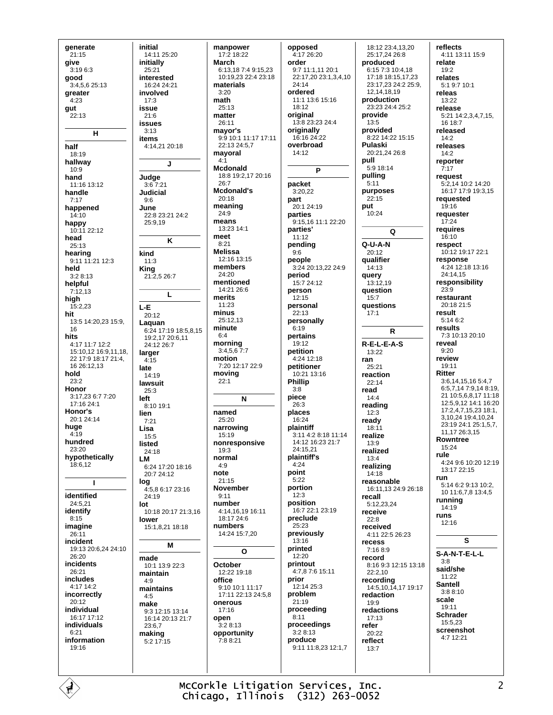qenerate  $21:15$ give  $3.1963$ good 3:4,5,6 25:13 greater  $4:23$ gut  $22.13$  $H$ half 18:19 hallway  $10:9$ hand  $11.16$   $13.12$ handle  $7:17$ happened  $14:10$ happy 10:11 22:12 head  $25:13$ hearing  $9:11$  11:21 12:3 held  $3.28.13$ helpful  $7:12.13$ high  $15.223$ hit 13:5 14:20,23 15:9, 16 hits  $4.1711.712.2$ 15:10,12 16:9,11,18, 22 17:9 18:17 21:4  $16.26 \cdot 12.13$ hold  $23:2$ Honor  $3:17.236:77:20$  $17.1624.1$ Honor's 20:1 24:14 huge  $4:19$ hundred  $23.20$ hypothetically 18:6,12 I. identified 24:5.21 identify  $8.15$ imagine  $26:11$ incident 19:13 20:6.24 24:10  $26:20$ incidents 26:21 includes 4:17 14:2 incorrectly  $20:12$ individual 16:17 17:12 individuals  $6:21$ information 19:16

initial 14:11 25:20 initially  $25.21$ interested 16:24 24:21 involved  $17:3$ issue  $21.6$ issues  $3:13$ items 4:14,21 20:18  $\mathbf{I}$ Judge  $3.67.21$ **Judicial**  $9:6$ June 22:8 23:21 24:2  $25.919$ K kind  $11:3$ King 21:2,5 26:7  $\mathsf{L}$ L-E 20:12 Laguan 6:24 17:19 18:5.8.15 19:2.17 20:6.11 24:12 26:7 larger  $4:15$ late  $14.19$ lawsuit -<br>25:3 left 8:10 19:1 lien  $7.21$ Lisa  $15:5$ listed  $24.18$ **LM** 6:24 17:20 18:16 20:7 24:12 loa 4:5.8 6:17 23:16  $24.19$ lot 10:18 20:17 21:3,16 lower 15:1,8,21 18:18 M made  $10.113.9223$ maintain  $4.9$ maintains  $4:5$ make  $9:3$  12:15 13:14 16:14 20:13 21:7  $23.67$ making  $5:2$  17:15

manpower 17:2 18:22 March 6:13.18 7:4 9:15.23 10:19.23 22:4 23:18 materials  $3:20$ math  $25.13$ matter  $26.11$ mayor's 9:9 10:1 11:17 17:11 22:13 24:5,7 mayoral  $4:1$ Medonald 18:8 19:2.17 20:16  $26.7$ Mcdonald's  $20:18$ meaning 24:9 means 13:23 14:1 meet  $8.21$ **Melissa** 12:16 13:15 members 24:20 mentioned  $14.21266$ merits 11:23 minus 25:12.13 minute  $6:4$ morning  $3:4,5,6$  7:7 motion  $7.20112.17229$ moving  $22.1$  $\mathbf{N}$ named  $25:20$ narrowing  $15.19$ nonresponsive  $19:3$ normal  $4.9$ note  $21.15$ November  $9:11$ number  $4:14.16.1916:11$  $18.17246$ numbers 14:24 15:7.20  $\Omega$ October 12:22 19:18 office  $9:10:10:1:11:17$ 17:11 22:13 24:5.8 onerous  $17:16$ open  $3.28.13$ opportunity 7:8 8:21

opposed 4:17 26:20 order 9.7 11.1 11 20.1 22:17.20 23:1.3.4.10  $24.14$ ordered 11:1 13:6 15:16  $18.12$ original 13:8 23:23 24:4 originally  $16:1624.22$ overbroad  $14.12$ P packet 3:20.22 part 20:1 24:19 parties 9:15,16 11:1 22:20 parties'  $11:12$ pending  $9:6$ people 3:24 20:13,22 24:9 period  $15.724.12$ person  $12:15$ personal  $22.13$ personally  $6:19$ pertains  $19.12$ petition  $4.2412.18$ petitioner 10:21 13:16 **Phillip**  $3:8$ piece 26:3 places 16:24 plaintiff 3:11 4:2 8:18 11:14 14:12 16:23 21:7  $24.1521$ plaintiff's  $4.24$ point  $5.22$ portion  $12.3$ position 16:7 22:1 23:19 preclude  $25.23$ previously  $13:16$ printed  $12:20$ printout 4:7.8 7:6 15:11 prior 12:14 25:3 problem  $21.19$ proceeding  $8:11$ proceedings  $3:28:13$ produce 9:11 11:8,23 12:1,7

18:12 23:4.13.20 25:17,24 26:8 produced 6:15 7:3 10:4 18 17:18 18:15.17.23  $23:17.23$  24:2 25:9. 12 14 18 19 production 23:23 24:4 25:2 provide  $13:5$ provided 8.22 14.22 15:15 Pulaski 20:21.24 26:8 pull 5:9 18:14 pulling  $5:11$ purposes  $22.15$ put  $10.24$ Ω  $Q - I J - A - N$  $20.12$ qualifier  $14:13$ auerv 13:12.19 question  $15:7$ **auestions**  $17.1$  $\mathsf{R}$  $R-E-L-E-A-S$  $13.22$ ran  $25:21$ reaction  $22.14$ read  $14:4$ reading  $12:3$ ready  $18:11$ realize 13:9 realized  $13:4$ realizing 14:18 reasonable 16:11,13 24:9 26:18 recall  $5:122324$ receive  $22:8$ received 4:11 22:5 26:23 recess  $7.1689$ record 8:16 9:3 12:15 13:18 22:2,10 recording 14:5,10,14,17 19:17 redaction 19:9 redactions  $17:13$ refer  $20:22$ reflect  $13.7$ 

reflects 4:11 13:11 15:9 relate  $19.2$ relates  $5:19:710:1$ releas 13:22 release 5:21 14:2,3,4,7,15,  $16.18 - 7$ released  $14.2$ releases  $14.2$ reporter  $7.17$ request 5:2,14 10:2 14:20 16:17 17:9 19:3,15 requested  $19.16$ requester  $17:24$ requires  $16.10$ respect 10:12 19:17 22:1 response 4:24 12:18 13:16 24:14,15 responsibility  $23.9$ restaurant 20:18 21:5 result  $5:146:2$ results 7:3 10:13 20:10 reveal  $9.20$ review  $19.11$ **Ritter** 3:6,14,15,16 5:4,7 6:5,7,14 7:9,14 8:19, 21 10:5,6,8,17 11:18 12:5,9,12 14:1 16:20 17:2,4,7,15,23 18:1, 3,10,24 19:4,10,24 23:19 24:1 25:1,5,7, 11,17 26:3,15 **Rowntree**  $15.24$ rule 4:24 9:6 10:20 12:19  $13.1722.15$ run 5:14 6:2 9:13 10:2. 10 11:6.7.8 13:4.5 running 14:19 runs  $12:16$ S S-A-N-T-E-L-L  $3.8$ said/she  $11:22$ **Santell**  $3:88:10$ scale  $19.11$ **Schrader** 15:5,23 screenshot  $4.712.21$ 

McCorkle Litigation Services, Inc. Chicago, Illinois (312) 263-0052